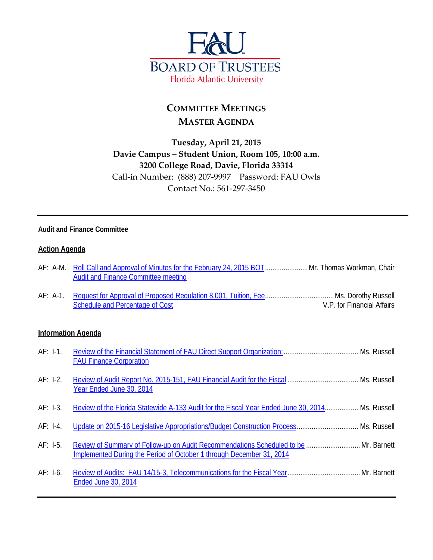

# **COMMITTEE MEETINGS MASTER AGENDA**

# **Tuesday, April 21, 2015 Davie Campus – Student Union, Room 105, 10:00 a.m. 3200 College Road, Davie, Florida 33314** Call-in Number: (888) 207-9997 Password: FAU Owls Contact No.: 561-297-3450

### **Audit and Finance Committee**

#### **Action Agenda**

| Audit and Finance Committee meeting |  |
|-------------------------------------|--|

AF: A-1. [Request for Approval of Proposed Regulation 8.001, Tuition, Fee.](http://www.fau.edu/bot/meetings/04212015_committee_meetings/audit_finance/af_a1.pdf)....................................Ms. Dorothy Russell [Schedule and Percentage of Cost](http://www.fau.edu/bot/meetings/04212015_committee_meetings/audit_finance/af_a1.pdf)

#### **Information Agenda**

| $AF: I-1.$ | <b>FAU Finance Corporation</b>                                                                                                                               |  |
|------------|--------------------------------------------------------------------------------------------------------------------------------------------------------------|--|
| $AF: I-2.$ | Year Ended June 30, 2014                                                                                                                                     |  |
| $AF: I-3.$ | Review of the Florida Statewide A-133 Audit for the Fiscal Year Ended June 30, 2014 Ms. Russell                                                              |  |
| $AF: I-4.$ |                                                                                                                                                              |  |
| $AF: I-5.$ | Review of Summary of Follow-up on Audit Recommendations Scheduled to be  Mr. Barnett<br>Implemented During the Period of October 1 through December 31, 2014 |  |
| $AF: I-6.$ | <b>Ended June 30, 2014</b>                                                                                                                                   |  |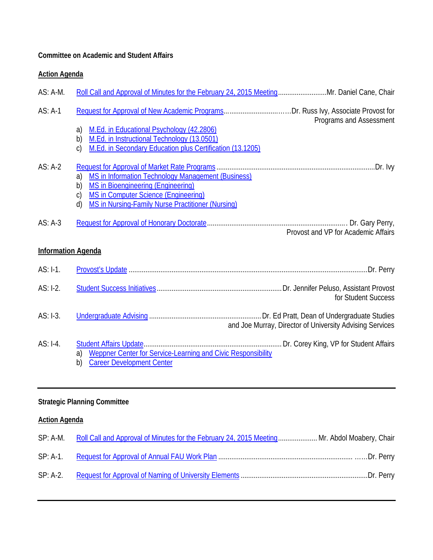## **Committee on Academic and Student Affairs**

## **Action Agenda**

| $AS: A-M.$                |                                                                                                                                                                                                                             | Roll Call and Approval of Minutes for the February 24, 2015 MeetingMr. Daniel Cane, Chair |  |  |
|---------------------------|-----------------------------------------------------------------------------------------------------------------------------------------------------------------------------------------------------------------------------|-------------------------------------------------------------------------------------------|--|--|
| $AS: A-1$                 |                                                                                                                                                                                                                             | Programs and Assessment                                                                   |  |  |
|                           | M.Ed. in Educational Psychology (42.2806)<br>a)<br>M.Ed. in Instructional Technology (13.0501)<br>b)<br>M.Ed. in Secondary Education plus Certification (13.1205)<br>$\mathsf{C})$                                          |                                                                                           |  |  |
| $AS: A-2$                 | MS in Information Technology Management (Business)<br>a)<br><b>MS in Bioengineering (Engineering)</b><br>b)<br><b>MS in Computer Science (Engineering)</b><br>C)<br>MS in Nursing-Family Nurse Practitioner (Nursing)<br>d) |                                                                                           |  |  |
| $AS: A-3$                 |                                                                                                                                                                                                                             | Provost and VP for Academic Affairs                                                       |  |  |
| <b>Information Agenda</b> |                                                                                                                                                                                                                             |                                                                                           |  |  |
| $AS: I-1.$                |                                                                                                                                                                                                                             |                                                                                           |  |  |
| $AS: I-2.$                |                                                                                                                                                                                                                             | for Student Success                                                                       |  |  |
| AS: I-3.                  |                                                                                                                                                                                                                             | and Joe Murray, Director of University Advising Services                                  |  |  |
| $AS: I-4.$                | Weppner Center for Service-Learning and Civic Responsibility<br>a)<br><b>Career Development Center</b><br>b)                                                                                                                |                                                                                           |  |  |

# **Strategic Planning Committee**

# **Action Agenda**

| SP: A-M. Roll Call and Approval of Minutes for the February 24, 2015 Meeting Mr. Abdol Moabery, Chair |  |
|-------------------------------------------------------------------------------------------------------|--|
|                                                                                                       |  |
|                                                                                                       |  |